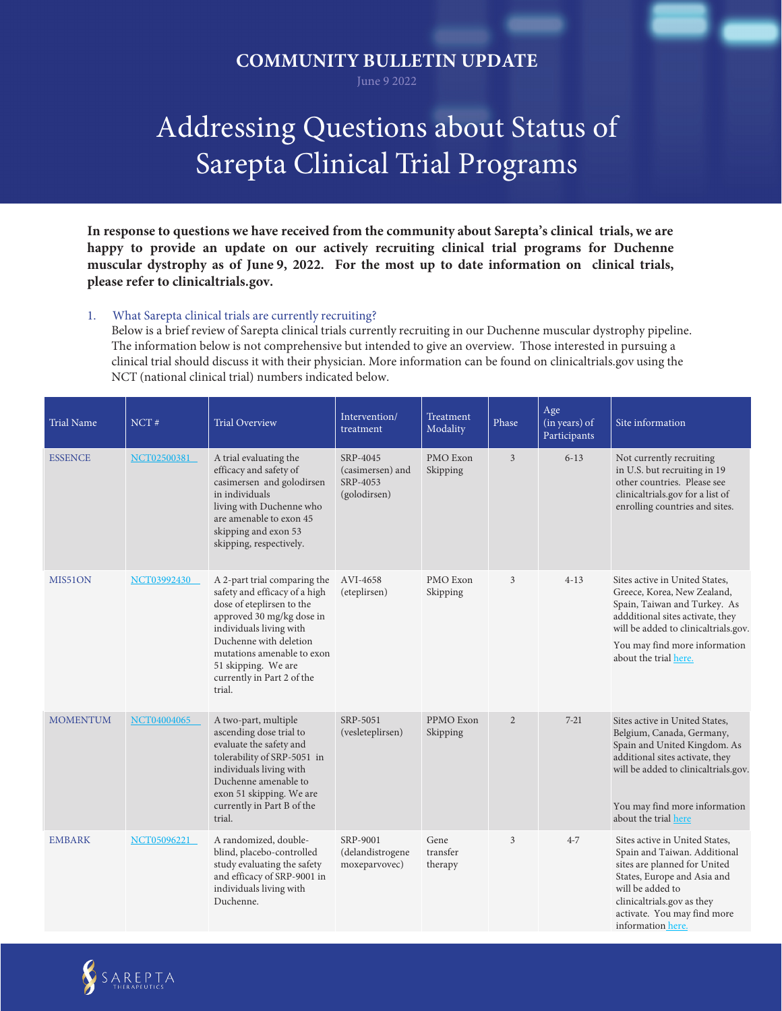## **COMMUNITY BULLETIN UPDATE**

June 9 2022

## Addressing Questions about Status of Sarepta Clinical Trial Programs

**In response to questions we have received from the community about Sarepta's clinical trials, we are happy to provide an update on our actively recruiting clinical trial programs for Duchenne muscular dystrophy as of June 9, 2022. For the most up to date information on clinical trials, please refer to clinicaltrials.gov.** 

## 1. What Sarepta clinical trials are currently recruiting?

Below is a brief review of Sarepta clinical trials currently recruiting in our Duchenne muscular dystrophy pipeline. The information below is not comprehensive but intended to give an overview. Those interested in pursuing a clinical trial should discuss it with their physician. More information can be found on clinicaltrials.gov using the NCT (national clinical trial) numbers indicated below.

| <b>Trial Name</b> | NCT#               | <b>Trial Overview</b>                                                                                                                                                                                                                                                     | Intervention/<br>treatment                               | Treatment<br>Modality       | Phase          | Age<br>(in years) of<br>Participants | Site information                                                                                                                                                                                                                    |
|-------------------|--------------------|---------------------------------------------------------------------------------------------------------------------------------------------------------------------------------------------------------------------------------------------------------------------------|----------------------------------------------------------|-----------------------------|----------------|--------------------------------------|-------------------------------------------------------------------------------------------------------------------------------------------------------------------------------------------------------------------------------------|
| <b>ESSENCE</b>    | NCT02500381        | A trial evaluating the<br>efficacy and safety of<br>casimersen and golodirsen<br>in individuals<br>living with Duchenne who<br>are amenable to exon 45<br>skipping and exon 53<br>skipping, respectively.                                                                 | SRP-4045<br>(casimersen) and<br>SRP-4053<br>(golodirsen) | PMO Exon<br>Skipping        | 3              | $6 - 13$                             | Not currently recruiting<br>in U.S. but recruiting in 19<br>other countries. Please see<br>clinicaltrials.gov for a list of<br>enrolling countries and sites.                                                                       |
| MIS51ON           | <b>NCT03992430</b> | A 2-part trial comparing the<br>safety and efficacy of a high<br>dose of eteplirsen to the<br>approved 30 mg/kg dose in<br>individuals living with<br>Duchenne with deletion<br>mutations amenable to exon<br>51 skipping. We are<br>currently in Part 2 of the<br>trial. | AVI-4658<br>(eteplirsen)                                 | PMO Exon<br>Skipping        | 3              | $4 - 13$                             | Sites active in United States,<br>Greece, Korea, New Zealand,<br>Spain, Taiwan and Turkey. As<br>addditional sites activate, they<br>will be added to clinicaltrials.gov.<br>You may find more information<br>about the trial here. |
| <b>MOMENTUM</b>   | NCT04004065        | A two-part, multiple<br>ascending dose trial to<br>evaluate the safety and<br>tolerability of SRP-5051 in<br>individuals living with<br>Duchenne amenable to<br>exon 51 skipping. We are<br>currently in Part B of the<br>trial.                                          | SRP-5051<br>(vesleteplirsen)                             | PPMO Exon<br>Skipping       | $\overline{2}$ | $7 - 21$                             | Sites active in United States,<br>Belgium, Canada, Germany,<br>Spain and United Kingdom. As<br>additional sites activate, they<br>will be added to clinicaltrials.gov.<br>You may find more information<br>about the trial here     |
| <b>EMBARK</b>     | <b>NCT05096221</b> | A randomized, double-<br>blind, placebo-controlled<br>study evaluating the safety<br>and efficacy of SRP-9001 in<br>individuals living with<br>Duchenne.                                                                                                                  | SRP-9001<br>(delandistrogene<br>moxeparvovec)            | Gene<br>transfer<br>therapy | 3              | $4 - 7$                              | Sites active in United States,<br>Spain and Taiwan. Additional<br>sites are planned for United<br>States, Europe and Asia and<br>will be added to<br>clinicaltrials.gov as they<br>activate. You may find more<br>information here. |